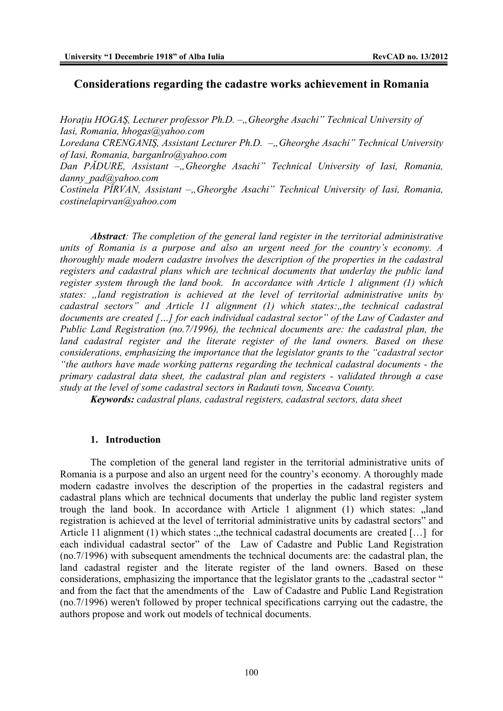## **Considerations regarding the cadastre works achievement in Romania**

*Horațiu HOGAŞ*, Lecturer professor Ph.D. – "Gheorghe Asachi" Technical University of *Iasi, Romania, hhogas@yahoo.com* 

Loredana CRENGANIŞ, Assistant Lecturer Ph.D. –, Gheorghe Asachi" Technical University *of Iasi, Romania, barganlro@yahoo.com* 

*Dan P*<sup>*ADURE*, *Assistant* – Gheorghe *Asachi*" *Technical University of Iasi*, *Romania*,</sup> *danny\_pad@yahoo.com* 

*Costinela PÎRVAN, Assistant –, Gheorghe Asachi" Technical University of Iasi, Romania, costinelapirvan@yahoo.com* 

*Abstract: The completion of the general land register in the territorial administrative units of Romania is a purpose and also an urgent need for the country's economy. A thoroughly made modern cadastre involves the description of the properties in the cadastral registers and cadastral plans which are technical documents that underlay the public land register system through the land book. In accordance with Article 1 alignment (1) which states: "land registration is achieved at the level of territorial administrative units by cadastral sectors*" and Article 11 alignment (1) which states: the technical cadastral *documents are created […] for each individual cadastral sector" of the Law of Cadaster and Public Land Registration (no.7/1996), the technical documents are: the cadastral plan, the*  land cadastral register and the literate register of the land owners. Based on these *considerations, emphasizing the importance that the legislator grants to the "cadastral sector "the authors have made working patterns regarding the technical cadastral documents - the primary cadastral data sheet, the cadastral plan and registers - validated through a case study at the level of some cadastral sectors in Radauti town, Suceava County.* 

*Keywords: cadastral plans, cadastral registers, cadastral sectors, data sheet*

### **1. Introduction**

The completion of the general land register in the territorial administrative units of Romania is a purpose and also an urgent need for the country's economy. A thoroughly made modern cadastre involves the description of the properties in the cadastral registers and cadastral plans which are technical documents that underlay the public land register system trough the land book. In accordance with Article 1 alignment  $(1)$  which states: "land registration is achieved at the level of territorial administrative units by cadastral sectors" and Article 11 alignment (1) which states : the technical cadastral documents are created [...] for each individual cadastral sector" of the Law of Cadastre and Public Land Registration (no.7/1996) with subsequent amendments the technical documents are: the cadastral plan, the land cadastral register and the literate register of the land owners. Based on these considerations, emphasizing the importance that the legislator grants to the "cadastral sector " and from the fact that the amendments of the Law of Cadastre and Public Land Registration (no.7/1996) weren't followed by proper technical specifications carrying out the cadastre, the authors propose and work out models of technical documents.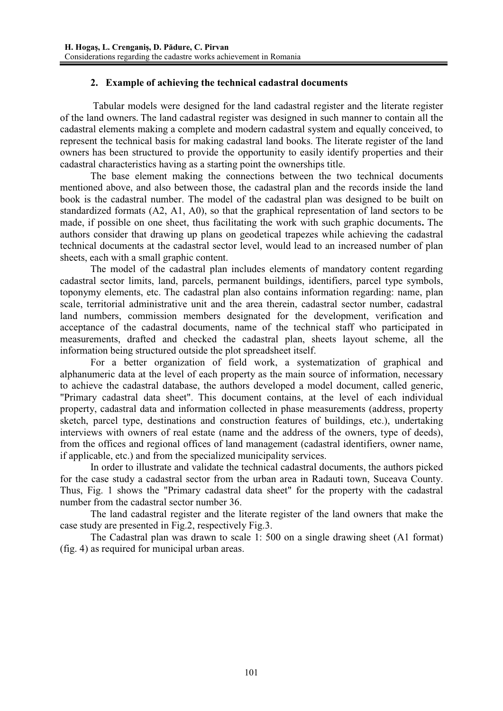## **2. Example of achieving the technical cadastral documents**

 Tabular models were designed for the land cadastral register and the literate register of the land owners**.** The land cadastral register was designed in such manner to contain all the cadastral elements making a complete and modern cadastral system and equally conceived, to represent the technical basis for making cadastral land books. The literate register of the land owners has been structured to provide the opportunity to easily identify properties and their cadastral characteristics having as a starting point the ownerships title.

 The base element making the connections between the two technical documents mentioned above, and also between those, the cadastral plan and the records inside the land book is the cadastral number. The model of the cadastral plan was designed to be built on standardized formats (A2, A1, A0), so that the graphical representation of land sectors to be made, if possible on one sheet, thus facilitating the work with such graphic documents**.** The authors consider that drawing up plans on geodetical trapezes while achieving the cadastral technical documents at the cadastral sector level, would lead to an increased number of plan sheets, each with a small graphic content.

The model of the cadastral plan includes elements of mandatory content regarding cadastral sector limits, land, parcels, permanent buildings, identifiers, parcel type symbols, toponymy elements, etc. The cadastral plan also contains information regarding: name, plan scale, territorial administrative unit and the area therein, cadastral sector number, cadastral land numbers, commission members designated for the development, verification and acceptance of the cadastral documents, name of the technical staff who participated in measurements, drafted and checked the cadastral plan, sheets layout scheme, all the information being structured outside the plot spreadsheet itself.

For a better organization of field work, a systematization of graphical and alphanumeric data at the level of each property as the main source of information, necessary to achieve the cadastral database, the authors developed a model document, called generic, "Primary cadastral data sheet". This document contains, at the level of each individual property, cadastral data and information collected in phase measurements (address, property sketch, parcel type, destinations and construction features of buildings, etc.), undertaking interviews with owners of real estate (name and the address of the owners, type of deeds), from the offices and regional offices of land management (cadastral identifiers, owner name, if applicable, etc.) and from the specialized municipality services.

In order to illustrate and validate the technical cadastral documents, the authors picked for the case study a cadastral sector from the urban area in Radauti town, Suceava County. Thus, Fig. 1 shows the "Primary cadastral data sheet" for the property with the cadastral number from the cadastral sector number 36.

 The land cadastral register and the literate register of the land owners that make the case study are presented in Fig.2, respectively Fig.3.

The Cadastral plan was drawn to scale 1: 500 on a single drawing sheet (A1 format) (fig. 4) as required for municipal urban areas.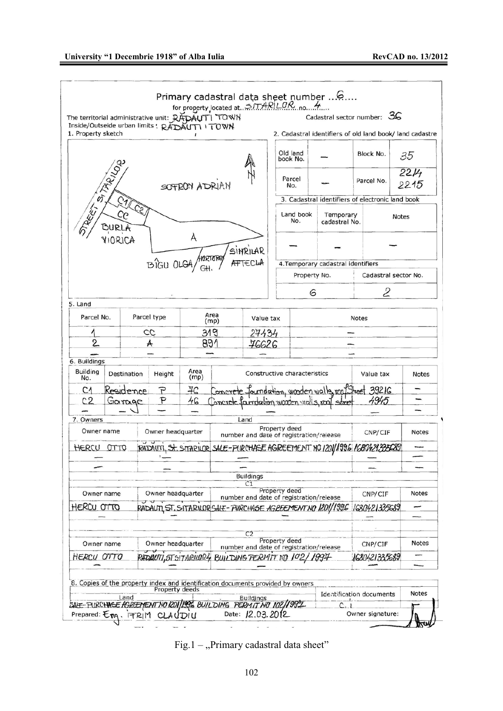

Fig.1 – "Primary cadastral data sheet"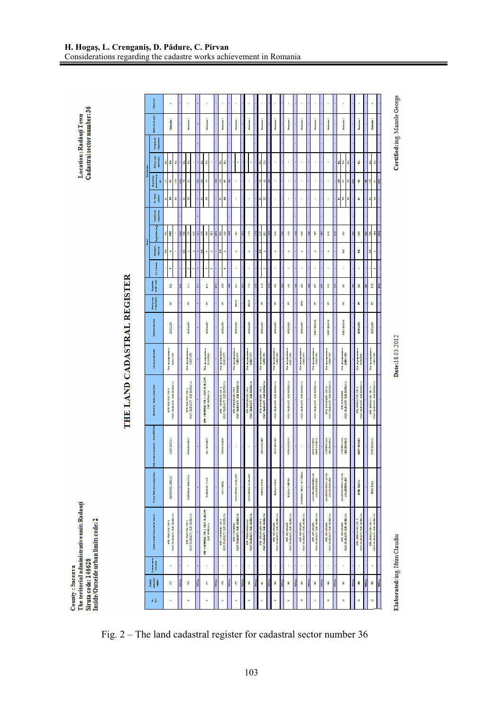|   | Nashing                                |    |                       |                         |     |   |                                                  |   |      |                                   |                                                       |      |                        |                                                                                        |     |                                                |       |                                                                                                                         |              |                                                                                                                |              |                                               |       |                                              |    |                                             |   |                                                                                                                                                                                                                                                                                                                                                                                                                                                               |       |                                                                                                                                    |      |                                                     |   |    |                                                   |   |                                                                                                                                                                                                                                                    |
|---|----------------------------------------|----|-----------------------|-------------------------|-----|---|--------------------------------------------------|---|------|-----------------------------------|-------------------------------------------------------|------|------------------------|----------------------------------------------------------------------------------------|-----|------------------------------------------------|-------|-------------------------------------------------------------------------------------------------------------------------|--------------|----------------------------------------------------------------------------------------------------------------|--------------|-----------------------------------------------|-------|----------------------------------------------|----|---------------------------------------------|---|---------------------------------------------------------------------------------------------------------------------------------------------------------------------------------------------------------------------------------------------------------------------------------------------------------------------------------------------------------------------------------------------------------------------------------------------------------------|-------|------------------------------------------------------------------------------------------------------------------------------------|------|-----------------------------------------------------|---|----|---------------------------------------------------|---|----------------------------------------------------------------------------------------------------------------------------------------------------------------------------------------------------------------------------------------------------|
|   | Tanksan da gina                        |    | į                     |                         |     |   | i<br>Budane                                      |   |      |                                   | i                                                     |      |                        | į                                                                                      |     | į                                              |       | į                                                                                                                       |              | i<br>Basance i                                                                                                 |              | Ī                                             |       | į                                            |    | į                                           |   | Ī                                                                                                                                                                                                                                                                                                                                                                                                                                                             |       | į                                                                                                                                  |      | į                                                   |   |    | į                                                 |   | į                                                                                                                                                                                                                                                  |
|   | <b>Taisman</b><br>į                    |    |                       |                         |     |   |                                                  |   |      |                                   |                                                       |      |                        |                                                                                        |     |                                                |       |                                                                                                                         |              |                                                                                                                |              |                                               |       |                                              |    |                                             |   |                                                                                                                                                                                                                                                                                                                                                                                                                                                               |       |                                                                                                                                    |      |                                                     |   |    |                                                   |   |                                                                                                                                                                                                                                                    |
|   | <b>Contract</b><br>İ                   | H. | đ                     | đ                       |     | 레 | đ                                                |   |      | ď                                 | đ<br>ł                                                |      | ď                      | đ                                                                                      |     | ł                                              |       |                                                                                                                         |              | ď<br>đ                                                                                                         |              | ï                                             |       | ï                                            |    | ï                                           |   | ï                                                                                                                                                                                                                                                                                                                                                                                                                                                             |       | ï                                                                                                                                  |      | đ<br>ď                                              | đ |    | d                                                 |   | ď<br>$\vec{a}$                                                                                                                                                                                                                                     |
| j | annual exclusion<br><b>Bagman</b><br>ī | š  | В                     | ŧ                       | ă   | B | š                                                |   | 3    | B                                 | ø                                                     | ä    | B                      | à,                                                                                     | H   |                                                |       |                                                                                                                         |              | a                                                                                                              | 81           |                                               |       | ï                                            |    | ä                                           |   | ä                                                                                                                                                                                                                                                                                                                                                                                                                                                             |       | ï                                                                                                                                  |      | g<br>ă,                                             | g | :: | ×                                                 | 픠 | ŧ<br>ä                                                                                                                                                                                                                                             |
|   | ł                                      | ö. | ö                     | ő                       |     |   | ď                                                |   |      | ū                                 | ö                                                     |      | ő                      | ö                                                                                      |     |                                                |       |                                                                                                                         |              | ö<br>ö.                                                                                                        |              |                                               |       |                                              |    |                                             |   |                                                                                                                                                                                                                                                                                                                                                                                                                                                               |       |                                                                                                                                    |      | a a                                                 | ö |    | ö                                                 |   | ö<br>ö                                                                                                                                                                                                                                             |
|   | i<br>I                                 |    |                       |                         |     |   |                                                  |   |      |                                   |                                                       |      |                        |                                                                                        |     |                                                |       |                                                                                                                         |              |                                                                                                                |              |                                               |       |                                              |    |                                             |   |                                                                                                                                                                                                                                                                                                                                                                                                                                                               |       |                                                                                                                                    |      |                                                     |   |    |                                                   |   |                                                                                                                                                                                                                                                    |
|   | <b>Ingenieurs</b>                      |    | a a                   |                         | ň   | å | Ė                                                | g | E    | g                                 | ĭ<br>H                                                | ă    | å,                     | ş                                                                                      | ă   | Ā                                              | B     | Ë                                                                                                                       | E            | Ë<br>Ħ                                                                                                         | <b>SIEIE</b> | Å                                             | Å     | ş                                            | ę  | ł                                           | Å | ä                                                                                                                                                                                                                                                                                                                                                                                                                                                             | Ä     | H                                                                                                                                  | ă    | ę                                                   |   | 9  | å                                                 | 븱 | ŧ<br>Î                                                                                                                                                                                                                                             |
| į | İ                                      | H  | ٠                     |                         |     | H | ł                                                | d |      | X                                 | ą<br>d                                                |      | B                      | đ                                                                                      |     | ą                                              |       | ă                                                                                                                       |              | U,<br>٩                                                                                                        |              | ą                                             |       | d                                            |    | d                                           |   | đ                                                                                                                                                                                                                                                                                                                                                                                                                                                             |       | đ                                                                                                                                  |      | H                                                   |   |    | H                                                 |   | X<br>ń                                                                                                                                                                                                                                             |
|   | <b>Building</b>                        |    | n                     |                         |     |   | ä                                                | ń |      |                                   | H<br>ń                                                |      |                        | n                                                                                      |     | ä                                              |       |                                                                                                                         |              | þ                                                                                                              |              | ä                                             |       |                                              |    | h                                           |   | ä                                                                                                                                                                                                                                                                                                                                                                                                                                                             |       | ä                                                                                                                                  |      | H                                                   |   |    |                                                   |   | ł                                                                                                                                                                                                                                                  |
|   |                                        |    | Ř                     |                         | ň   |   | ş                                                |   | x    |                                   | ň                                                     | ň    |                        | å                                                                                      | å   | ä                                              | ā     | B                                                                                                                       | Ë            | å                                                                                                              | H            | Å                                             | Å     | ŝ                                            | g, | Å                                           | å | ä                                                                                                                                                                                                                                                                                                                                                                                                                                                             | ä     | î                                                                                                                                  | å    | ş                                                   |   | 6  | å                                                 | 븱 | Î                                                                                                                                                                                                                                                  |
|   | Colorado<br>Tecnología                 |    | Ŀ                     |                         |     |   | Ŀ                                                |   |      |                                   | Ŀ                                                     |      |                        | È                                                                                      |     | i                                              |       | i                                                                                                                       |              | È                                                                                                              |              | Ŀ                                             |       | Ŀ                                            |    | E                                           |   | ŧ                                                                                                                                                                                                                                                                                                                                                                                                                                                             |       | Ŀ                                                                                                                                  |      | Ŀ                                                   |   |    | È                                                 |   | È                                                                                                                                                                                                                                                  |
|   | Ned to delivery                        |    | <b>CARD CARD</b>      |                         |     |   | <b>CALLED A</b>                                  |   |      |                                   | <b>CALL CARD</b>                                      |      |                        | <b>CALCULUM</b>                                                                        |     | <b>CALCULUM</b>                                |       | <b>CARD CORPORA</b>                                                                                                     |              | <b>CALCULUS</b>                                                                                                |              | <b>CALL CARDS</b>                             |       | <b>CAN DESCRIPTION</b>                       |    | <b>CALL CARD</b>                            |   | 2012/02/22 23:25                                                                                                                                                                                                                                                                                                                                                                                                                                              |       | <b>MARKASHAR</b>                                                                                                                   |      | <b>REPORT AND</b>                                   |   |    | <b>CALCULUM</b>                                   |   | <b>CALCULUS</b>                                                                                                                                                                                                                                    |
|   | And the group of high                  |    | This department       | 180311807               |     |   | This dependent<br>1930/0000                      |   |      |                                   | This degree internal<br>Constant of the constant      |      |                        | This dependents.<br>Statistics                                                         |     | This department.<br>Listensore                 |       | The Agreement<br>Statistics                                                                                             |              |                                                                                                                |              | The Agreement                                 |       | The Appendixes<br>The Change of              |    | The Appearance<br>Company of Alberta        |   | This dependent.<br>The contract                                                                                                                                                                                                                                                                                                                                                                                                                               |       | This department<br><b>BERRIER</b>                                                                                                  |      | This dependence.<br>Constitution                    |   |    | The Agreement<br>Stranger                         |   | This depressions on<br>1933-1933                                                                                                                                                                                                                   |
|   | Denisia in their property              |    | STR. PERMIT NR. 2     | MEN RADACT, AND HIGHWAY |     |   | ata filmoni est.<br>Mercania                     |   |      | are, versees well, such each area | <b>TELECTION</b>                                      |      |                        | $\begin{array}{ll} \text{176, V2 T0012, 85.4} \\ \text{18.84, 6.15, 6.17} \end{array}$ |     | eta, aspertiniara,<br>Ministrativa, as externa |       | $\begin{array}{ll} \text{IN}.\text{REVDEUCI}, \text{INA}, \\ \text{SUCI}, \text{RDEACTI}, \text{NEBUCEIVA} \end{array}$ |              | $\frac{1}{2}$ and $\frac{1}{2}$ and $\frac{1}{2}$ and $\frac{1}{2}$ are assessed as a section of $\frac{1}{2}$ |              | MUST RADAUT, JUD SUCCESS                      |       | MUNICIPALITY, NEW SERVICE                    |    | MUN. RADAUTI, SUD SUCCAVA                   |   | MUN. RADAUTI, JUD JUDEAVA                                                                                                                                                                                                                                                                                                                                                                                                                                     |       | $\begin{array}{ll} \text{argmax} & \text{argmax} \\ \text{argmax} & \text{argmax} \\ \text{argmax} & \text{argmax} \\ \end{array}$ |      | <b>MONTH AND BUCKERS</b><br><b>TRUSHING</b><br>Nuw. |   |    | MEN RADAUT, NED BEEAVA<br>are, and contract well. |   | $\begin{array}{ll} \text{1.76, 1.02, 1.02, 1.03, 1.1,} \\ \text{1.86, 1.02, 1.02, 1.03, 1.03, 1.04, 1.05, 1.06, 1.07, 1.07, 1.07, 1.07, 1.07, 1.07, 1.07, 1.07, 1.07, 1.07, 1.07, 1.07, 1.07, 1.07, 1.07, 1.07, 1.07, 1.07, 1.07, 1.07, 1.07, 1.0$ |
|   | Codinaces<br>i<br>J                    |    | 1222233               |                         |     |   | :::::::::::::                                    |   |      |                                   | 12011213021                                           |      |                        | <b>MARKETSHIP</b>                                                                      |     | ×                                              |       |                                                                                                                         |              | 18533338                                                                                                       |              | <b>ERRETAGE</b>                               |       | 17000000000                                  |    | ä                                           |   | $\begin{array}{ll} \hbox{nonmin} \\\hbox{nonmin} \\\hbox{nonmin} \\\hbox{nonmin} \\\hbox{nonmin} \\\hbox{nonmin} \\\hbox{nonmin} \\\hbox{nonmin} \\\hbox{nonmin} \\\hbox{nonmin} \\\hbox{nonmin} \\\hbox{nonmin} \\\hbox{nonmin} \\\hbox{nonmin} \\\hbox{nonmin} \\\hbox{nonmin} \\\hbox{nonmin} \\\hbox{nonmin} \\\hbox{nonmin} \\\hbox{nonmin} \\\hbox{nonmin} \\\hbox{nonmin} \\\hbox{nonmin} \\\hbox{nonmin} \\\hbox{nonmin} \\\hbox{nonmin} \\\hbox{non$ |       | <b>DEN EERSTER</b><br>1206323242                                                                                                   |      | <b>CONTROLLER</b>                                   |   |    | 1807123183                                        |   | <b>EDITOR DESCRIPTION</b>                                                                                                                                                                                                                          |
|   | <b>There is Denomine proprietion</b>   |    | <b>MARK SHARRS</b>    |                         |     |   | MORDER THREE                                     |   |      |                                   | <b>TARTISTING</b>                                     |      |                        | <b>MISSISSIPPER</b>                                                                    |     | <b>CONTRACTOR</b>                              |       | MUNICIPAL RADIATI                                                                                                       |              | <b>XEXCU DITID</b>                                                                                             |              | <b>DOMESTICS</b>                              |       | <b>BURGANISHES</b>                           |    | PARDNEL NOUA WYSERA                         |   | AMARGEDEE DESAIL<br>AMARITELISM                                                                                                                                                                                                                                                                                                                                                                                                                               |       | маклинстатия и<br>AMARITIE RADIO                                                                                                   |      | MARKET DE TAYLAN<br>AMARITE RADY                    |   |    | <b>BIRD BEENA</b>                                 |   | <b>SERIE DESIGN</b>                                                                                                                                                                                                                                |
|   | Advertised Distances in Install        |    | arm. rearrives, while | MER RADALT, AND JUSTAWA |     |   | MUS RADAUT, JUD. JUDEAVA<br>arm, married, was 4. |   |      |                                   | anti vermonen, von 4, samt klassieren.<br>Den sterken |      | and the research was a | MER KABATI KEL HERAYA                                                                  |     | NEW RADIAT, 2021, 2022 AVE<br>ann.visitemes.   |       | MUS RABACT, JUD. JUDEAVA<br><b>ITAL PORCHODICATION</b>                                                                  |              | NUX RADALTI, ND. HIGHAYA<br>ти, накина, каз                                                                    |              | NEW KARAFTI, 200, 2008-201<br>ant. an annuar. |       | <b>WASHINGTON AND A</b><br>are, arriagement, |    | MER RADWIT NO. HIGHAWA<br>ant. arrangement. |   | MINERAL PROPERTY AND INCOME.<br>ant, an ancon.                                                                                                                                                                                                                                                                                                                                                                                                                |       | <b>WERE REMEDIATED</b><br>THE READERS.                                                                                             |      | MER RADIETY AND JUSTICE<br><b>TIRL SIT ARTICLE</b>  |   |    | MERCEDARY NEWSFILM<br>118.10011330(38.3)          |   | MUN RADAUT, SED. SUBATA<br>вти, включи мод ми. н.,                                                                                                                                                                                                 |
|   | <b>There</b> were the<br><b>Books</b>  |    | ï                     |                         |     |   | ł                                                |   |      |                                   | ¥                                                     |      |                        | ×                                                                                      |     | ï                                              |       |                                                                                                                         |              | ×                                                                                                              |              |                                               |       |                                              |    | ï                                           |   | ł                                                                                                                                                                                                                                                                                                                                                                                                                                                             |       | ï                                                                                                                                  |      | ï                                                   |   |    |                                                   |   |                                                                                                                                                                                                                                                    |
|   | H<br>Ī                                 |    | E                     |                         | mus |   | Ê                                                |   | mmar |                                   | I,                                                    | mina |                        | Ľ                                                                                      | mma | t                                              | TETAL | H                                                                                                                       | <b>First</b> | Ĥ                                                                                                              | <b>H</b>     | H                                             | terna | Ĥ                                            | i  | ň                                           | i | H                                                                                                                                                                                                                                                                                                                                                                                                                                                             | THEFT | i                                                                                                                                  | mark | ä                                                   |   | i  | Ä                                                 | Ĭ | ă                                                                                                                                                                                                                                                  |
|   | é ő                                    |    | ä                     |                         |     |   | H                                                |   |      |                                   | n                                                     |      |                        | ų                                                                                      |     | n                                              |       | a                                                                                                                       |              | Ŷ.                                                                                                             |              | H                                             |       | ä                                            |    | Ŕ                                           |   | ä                                                                                                                                                                                                                                                                                                                                                                                                                                                             |       | u                                                                                                                                  |      | n                                                   |   |    | ×                                                 |   | n                                                                                                                                                                                                                                                  |

Location : Radăuți Town<br>Cadastral sector number: 36

County : Suceava<br>The teritorial administrativeunit: Radauți<br>Siruta code: 146628<br>Inside/Outseide urban limits code: 2

Fig. 2 – The land cadastral register for cadastral sector number 36

Date:18.03.2012

Certified: ing. Manole George

Elaborated: ing. Ifrim Claudiu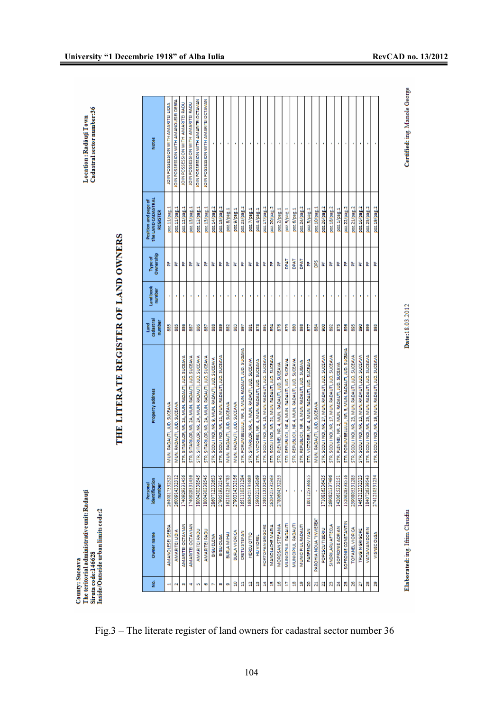County: Suceava<br>The teritorial administrative unit: Radauți<br>Siruta code:146628<br>Inside/Outseide urban limits code:2

# THE LITERATE REGISTER OF LAND OWNERS

| g.           | Owner name                | identification<br>Personal<br>number | Property address                                     | cadastral<br>number<br>Land | Land book<br>number | Ownership<br><b>Type of</b> | the LAND CADASTRAI<br>Position and page of<br>REGISTER | <b>Notes</b>                           |
|--------------|---------------------------|--------------------------------------|------------------------------------------------------|-----------------------------|---------------------|-----------------------------|--------------------------------------------------------|----------------------------------------|
|              | AMANOLESEI DEBRA          | 26408173323                          | MUN. RADAUTI, JUD. SUCEAVA                           | 865                         |                     | 눕                           | poz.11/pag.1                                           | JOIN POSSESSION WITH AMARITEI LIDIA    |
| N            | <b>AMARITEI LIDIA</b>     | 260091433231                         | MUN. RADAUTI, JUD. SUCEAVA                           | 885                         |                     | ٣,                          | poz.11/pag.1                                           | IOIN POSSESSION WITH AM ANOLESE DEBRA  |
| m            | AMARITEI OCTAVIAN         | 1740929331456                        | STR. SITARILOR, NR. 2A, MUN. RADAUTI, JUD. SUCEAVA   | 886                         |                     | ä,                          | poz.12/pag.1                                           | JOIN POSSESSION WITH AMARITEI RADU     |
| Ħ            | AMARITEI OCTAVIAN         | 1740929331456                        | STR. SITARILOR, NR. 2A, MUN. RADAUTI, JUD. SUCEAVA   | 387                         |                     | ä,                          | poz.13/pag.1                                           | JOIN POSSESSION WITH AMARITEI RADU     |
| in,          | AMARITEI RADU             | 1800430338545                        | STR. SITARILOR, NR. 2A, MUN. RADAUTI, JUD. SUCEAVA   | 886                         |                     | 눝                           | poz.12/pag.1                                           | JOIN POSSESSION WITH AMARITEI OCTAVIAN |
| Ø            | AMARITEI RADU             | 180043033854                         | STR. SITARILOR, NR. 2A, MUN. RADAUTI, JUD. SUCEAVA   | 387                         |                     | 눈                           | poz.13/pag.1                                           | JOIN POSSESSION WITH AMARITEI OCTAVIAN |
| b            | <b>BIGU ELENA</b>         | 286071233265                         | STR. SCOLII NOI, NR. 9, MUN. RADAUTI, JUD. SUCEAVA   | 888                         |                     | 눈                           | poz.14/pag.2                                           |                                        |
| 89           | BIGUOLGA                  | 2790519332145                        | STR. SODLII NOI, NR. 11, MUN. RADAUTI, JUD. SUCEAVA  | 88                          |                     | 눈                           | poz.15/pag.2                                           |                                        |
| Ø,           | BURLA MIHAI               | 162101233478                         | MUN. RADAUTI, JUD. SUCEAVA                           | 읿                           |                     | 눈                           | poz.8/pag.1                                            |                                        |
| å            | <b>BURLA VIORICA</b>      | 2790314332156                        | MUN. RADAUTI, JUD. SUCEAVA                           | 883                         |                     | ä,                          | poz.9/pag.1                                            |                                        |
| Ħ            | <b>CRETU STEFAN</b>       | 165111033128                         | STR. PORUMBELULUI, NR. 3, MUN. RADAUTI, JUD. SUCEAVA | 268                         |                     | ä,                          | poz.23/pag.2                                           |                                        |
| ą            | <b>HERCU OTTO</b>         | 1680421335689                        | STR, SITARILOR, NR. 4, MUN. RADAUTI, JUD. SUCEAVA    | 581                         |                     | 눕                           | poz.7/pag.1                                            |                                        |
| g            | <b>HIJ VIOREL</b>         | 1590321336369                        | STR, VICTORIEI, NR, 4, MUN. RADAUTI, JUD. SUCEAVA    | 878                         |                     | 눕                           | poz.4/pag.1                                            |                                        |
| Å            | HORTOPAN GRIGORE          | 1580113332485                        | STR. SCOLII NOI, NR. 15, MUN. RADAUTI, JUD. SUCEAVA  | 5                           |                     | 눈                           | poz.17/pag.2                                           |                                        |
| å            | MANOLACHE MARIA           | 2620421332363                        | STR. SCOLII NOI, NR. 21, MUN. RADAUTI, JUD. SUCEAVA  | 268                         |                     | 눈                           | poz.20/pag.2                                           |                                        |
| g            | MOROSAN STEFANIA          | 278060433225                         | STR. PLEVNEI, NR. 4, MUN. RADAUTI, JUD. SUCEAVA      | 876                         |                     | 눈                           | poz.2/pag.1                                            |                                        |
| ā            | MUNICIPIUL RADAUTI        |                                      | STR. REPUBLICII, NR.4, MUN. RADAUTI, JUD. SUCEAVA    | 6/8                         |                     | <b>LVdO</b>                 | poz.5/pag.1                                            |                                        |
| å            | MUNICIPIUL RADAUTI        |                                      | STR. REPUBLICII, NR.4, MUN. RADAUTI, JUD. SUCEAVA    | 80                          |                     | <b>LVdO</b>                 | poz.6/pag.1                                            |                                        |
| g            | MUNICIPIUL RADAUTI        |                                      | STR. REPUBLICII, NR. 4, MUN. RADAUTI, JUD. SUEAVA    | 888                         |                     | <b>DPAT</b>                 | poz.24/pag.2                                           |                                        |
| 20           | PARFENOV IVAN             | 180112533665                         | STR. VICTORIEI, NR. 4, MUN. RADAUTI, JUD. SUCEAVA    | 22                          |                     | 뉪                           | poz.3/pag.1                                            |                                        |
| Ę,           | PAROHIA NOUA "INVIEREA"   |                                      | MUN. RADAUTI, JUD. SUCEAVA                           | 33                          |                     | š                           | poz.10/pag.1                                           |                                        |
| R            | POPESCUTIBERIU            | 171081633643                         | STR. SCOLII NOI, NR. 27, MUN. RADAUTI, JUD. SUCEAVA  | ŝ.                          |                     | 눈                           | poz.26/pag.2                                           |                                        |
| $\mathbb{R}$ | <b>SINDRILARU AFTECLA</b> | 2690821337496                        | STR. SCOLII NOI, NR. 17, MUN. RADAUTI, JUD. SUCEAVA  | 392                         |                     | 눝                           | poz.18/pag.2                                           |                                        |
| $\mathbf{z}$ | SOFRONIE ADRIAN           | 1420615332151                        | STR. PLEVNEI, NR. 2, MUN. RADAUTI, JUD. SUCEAVA      | 875                         |                     | ä,                          | poz.1/pag.1                                            |                                        |
| K,           | SOFRONIE CONSTANTIN       | 152062833851                         | STR, PORUMBELULUI, NR. 5, MUN. RADAUTI, JUD. SUCEAVA | 896                         |                     | 눈                           | poz.22/pag.2                                           |                                        |
| 26           | TOFANEL VIORICA           | 239080533128                         | STR. SCOLII NOI, NR. 23, MUN. RADAUTI, JUD. SUCEAVA  | 895                         |                     | 눈                           | poz.21/pag.2                                           |                                        |
| Z            | <b>TRUGIN GRIGORE</b>     | 146121233232                         | STR. SCOLII NOI, NR. 13, MUN. RADAUTI, JUD. SUCEAVA  | 8                           |                     | 눕                           | poz.16/pag.2                                           |                                        |
| 28           | <b>VATAMAN DORIN</b>      | 1840726339543                        | STR. SCOLII NOI, NR. 25, MUN. RADAUTI, JUD. SUCEAVA  | 8                           |                     | 눕                           | poz.25/pag.2                                           |                                        |
| 29           | VISNEC OLGA               | 2741210331234                        | STR. SCOLII NOI, NR. 19, MUN. RADAUTI, JUD. SUCEAVA  | 8                           |                     | 눈                           | poz.19/pag.2                                           |                                        |

Certified: ing. Manole George

Date:18.03.2012

Elaborated: ing. Iftim Claudiu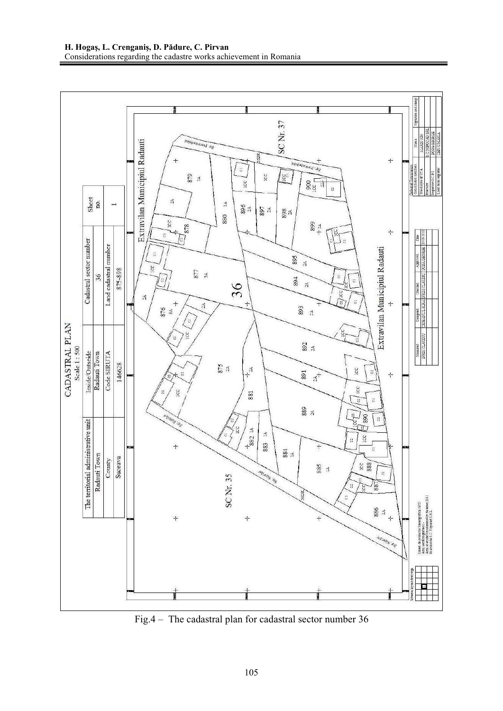

Fig.4 – The cadastral plan for cadastral sector number 36